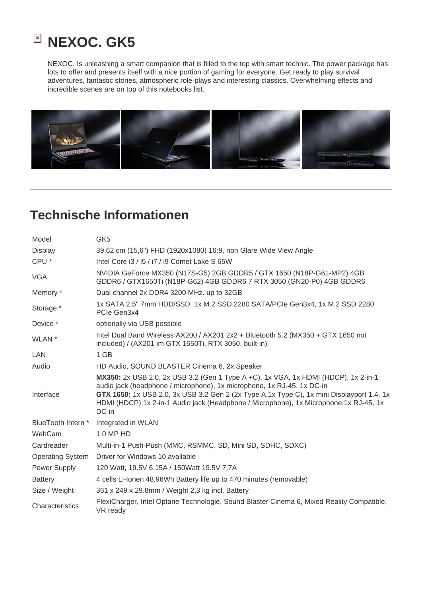

NEXOC. Is unleashing a smart companion that is filled to the top with smart technic. The power package has lots to offer and presents itself with a nice portion of gaming for everyone. Get ready to play survival adventures, fantastic stories, atmospheric role-plays and interesting classics. Overwhelming effects and incredible scenes are on top of this notebooks list.



## **Technische Informationen**

| Model                   | GK <sub>5</sub>                                                                                                                                                                                                                                                                                                                                                |
|-------------------------|----------------------------------------------------------------------------------------------------------------------------------------------------------------------------------------------------------------------------------------------------------------------------------------------------------------------------------------------------------------|
| <b>Display</b>          | 39,62 cm (15,6") FHD (1920x1080) 16:9, non Glare Wide View Angle                                                                                                                                                                                                                                                                                               |
| CPU <sup>*</sup>        | Intel Core i3 / i5 / i7 / i9 Comet Lake S 65W                                                                                                                                                                                                                                                                                                                  |
| <b>VGA</b>              | NVIDIA GeForce MX350 (N17S-G5) 2GB GDDR5 / GTX 1650 (N18P-G61-MP2) 4GB<br>GDDR6 / GTX1650Ti (N18P-G62) 4GB GDDR6 7 RTX 3050 (GN20-P0) 4GB GDDR6                                                                                                                                                                                                                |
| Memory *                | Dual channel 2x DDR4 3200 MHz. up to 32GB                                                                                                                                                                                                                                                                                                                      |
| Storage *               | 1x SATA 2,5" 7mm HDD/SSD, 1x M.2 SSD 2280 SATA/PCIe Gen3x4, 1x M.2 SSD 2280<br>PCIe Gen3x4                                                                                                                                                                                                                                                                     |
| Device *                | optionally via USB possible                                                                                                                                                                                                                                                                                                                                    |
| WLAN <sup>*</sup>       | Intel Dual Band Wireless AX200 / AX201 2x2 + Bluetooth 5.2 (MX350 + GTX 1650 not<br>included) / (AX201 im GTX 1650Ti, RTX 3050, built-in)                                                                                                                                                                                                                      |
| <b>LAN</b>              | 1 GB                                                                                                                                                                                                                                                                                                                                                           |
| Audio                   | HD Audio, SOUND BLASTER Cinema 6, 2x Speaker                                                                                                                                                                                                                                                                                                                   |
| Interface               | MX350: 2x USB 2.0, 2x USB 3.2 (Gen 1 Type A +C), 1x VGA, 1x HDMI (HDCP), 1x 2-in-1<br>audio jack (headphone / microphone), 1x microphone, 1x RJ-45, 1x DC-in<br>GTX 1650: 1x USB 2.0, 3x USB 3.2 Gen 2 (2x Type A, 1x Type C), 1x mini Displayport 1.4, 1x<br>HDMI (HDCP), 1x 2-in-1 Audio jack (Headphone / Microphone), 1x Microphone, 1x RJ-45, 1x<br>DC-in |
| BlueTooth Intern *      | Integrated in WLAN                                                                                                                                                                                                                                                                                                                                             |
| WebCam                  | 1.0 MP HD                                                                                                                                                                                                                                                                                                                                                      |
| Cardreader              | Multi-in-1 Push-Push (MMC, RSMMC, SD, Mini SD, SDHC, SDXC)                                                                                                                                                                                                                                                                                                     |
| <b>Operating System</b> | Driver for Windows 10 available                                                                                                                                                                                                                                                                                                                                |
| Power Supply            | 120 Watt, 19.5V 6.15A / 150Watt 19.5V 7.7A                                                                                                                                                                                                                                                                                                                     |
| <b>Battery</b>          | 4 cells Li-Ionen 48,96Wh Battery life up to 470 minutes (removable)                                                                                                                                                                                                                                                                                            |
| Size / Weight           | 361 x 249 x 29.8mm / Weight 2,3 kg incl. Battery                                                                                                                                                                                                                                                                                                               |
| Characteristics         | FlexiCharger, Intel Optane Technologie, Sound Blaster Cinema 6, Mixed Reality Compatible,<br>VR ready                                                                                                                                                                                                                                                          |